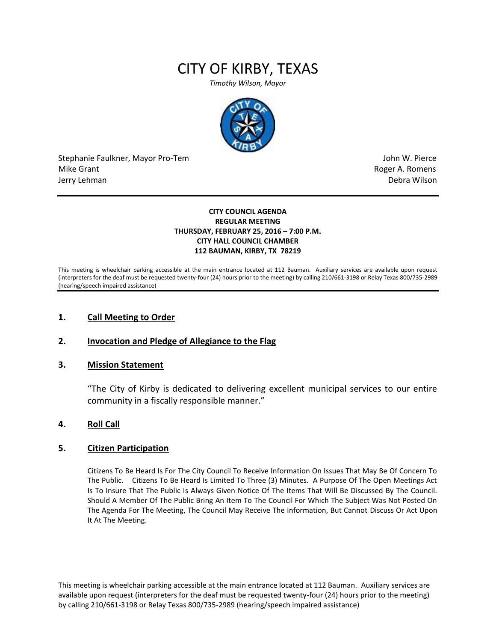# CITY OF KIRBY, TEXAS

*Timothy Wilson, Mayor*



Stephanie Faulkner, Mayor Pro-Tem John W. Pierce Mike Grant **Mike Grant** Roger A. Romens and Roger A. Romens and Roger A. Romens and Roger A. Romens and Roger A. Romens and Roger A. Romens and Roger A. Romens and Roger A. Romens and Roger A. Romens and Roger A. Romens an Jerry Lehman Debra Wilson

#### **CITY COUNCIL AGENDA REGULAR MEETING THURSDAY, FEBRUARY 25, 2016 – 7:00 P.M. CITY HALL COUNCIL CHAMBER 112 BAUMAN, KIRBY, TX 78219**

This meeting is wheelchair parking accessible at the main entrance located at 112 Bauman. Auxiliary services are available upon request (interpreters for the deaf must be requested twenty-four (24) hours prior to the meeting) by calling 210/661-3198 or Relay Texas 800/735-2989 (hearing/speech impaired assistance)

## **1. Call Meeting to Order**

# **2. Invocation and Pledge of Allegiance to the Flag**

## **3. Mission Statement**

"The City of Kirby is dedicated to delivering excellent municipal services to our entire community in a fiscally responsible manner."

## **4. Roll Call**

## **5. Citizen Participation**

Citizens To Be Heard Is For The City Council To Receive Information On Issues That May Be Of Concern To The Public. Citizens To Be Heard Is Limited To Three (3) Minutes. A Purpose Of The Open Meetings Act Is To Insure That The Public Is Always Given Notice Of The Items That Will Be Discussed By The Council. Should A Member Of The Public Bring An Item To The Council For Which The Subject Was Not Posted On The Agenda For The Meeting, The Council May Receive The Information, But Cannot Discuss Or Act Upon It At The Meeting.

This meeting is wheelchair parking accessible at the main entrance located at 112 Bauman. Auxiliary services are available upon request (interpreters for the deaf must be requested twenty-four (24) hours prior to the meeting) by calling 210/661-3198 or Relay Texas 800/735-2989 (hearing/speech impaired assistance)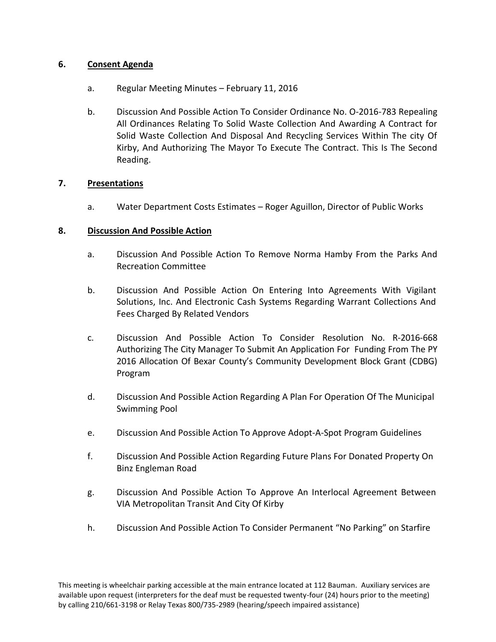# **6. Consent Agenda**

- a. Regular Meeting Minutes February 11, 2016
- b. Discussion And Possible Action To Consider Ordinance No. O-2016-783 Repealing All Ordinances Relating To Solid Waste Collection And Awarding A Contract for Solid Waste Collection And Disposal And Recycling Services Within The city Of Kirby, And Authorizing The Mayor To Execute The Contract. This Is The Second Reading.

# **7. Presentations**

a. Water Department Costs Estimates – Roger Aguillon, Director of Public Works

# **8. Discussion And Possible Action**

- a. Discussion And Possible Action To Remove Norma Hamby From the Parks And Recreation Committee
- b. Discussion And Possible Action On Entering Into Agreements With Vigilant Solutions, Inc. And Electronic Cash Systems Regarding Warrant Collections And Fees Charged By Related Vendors
- c. Discussion And Possible Action To Consider Resolution No. R-2016-668 Authorizing The City Manager To Submit An Application For Funding From The PY 2016 Allocation Of Bexar County's Community Development Block Grant (CDBG) Program
- d. Discussion And Possible Action Regarding A Plan For Operation Of The Municipal Swimming Pool
- e. Discussion And Possible Action To Approve Adopt-A-Spot Program Guidelines
- f. Discussion And Possible Action Regarding Future Plans For Donated Property On Binz Engleman Road
- g. Discussion And Possible Action To Approve An Interlocal Agreement Between VIA Metropolitan Transit And City Of Kirby
- h. Discussion And Possible Action To Consider Permanent "No Parking" on Starfire

This meeting is wheelchair parking accessible at the main entrance located at 112 Bauman. Auxiliary services are available upon request (interpreters for the deaf must be requested twenty-four (24) hours prior to the meeting) by calling 210/661-3198 or Relay Texas 800/735-2989 (hearing/speech impaired assistance)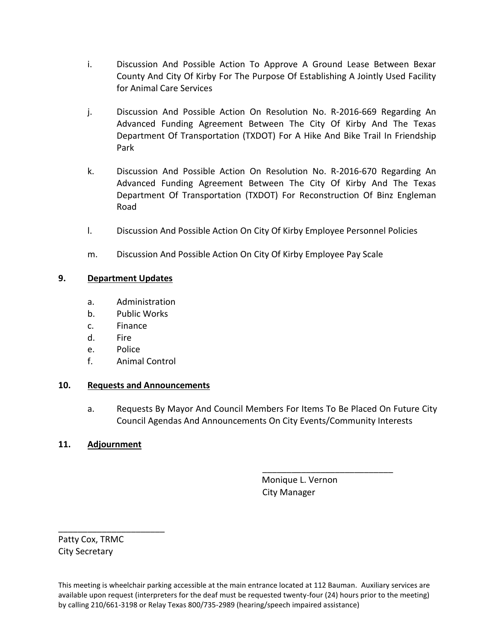- i. Discussion And Possible Action To Approve A Ground Lease Between Bexar County And City Of Kirby For The Purpose Of Establishing A Jointly Used Facility for Animal Care Services
- j. Discussion And Possible Action On Resolution No. R-2016-669 Regarding An Advanced Funding Agreement Between The City Of Kirby And The Texas Department Of Transportation (TXDOT) For A Hike And Bike Trail In Friendship Park
- k. Discussion And Possible Action On Resolution No. R-2016-670 Regarding An Advanced Funding Agreement Between The City Of Kirby And The Texas Department Of Transportation (TXDOT) For Reconstruction Of Binz Engleman Road
- l. Discussion And Possible Action On City Of Kirby Employee Personnel Policies
- m. Discussion And Possible Action On City Of Kirby Employee Pay Scale

# **9. Department Updates**

- a. Administration
- b. Public Works
- c. Finance
- d. Fire
- e. Police
- f. Animal Control

# **10. Requests and Announcements**

a. Requests By Mayor And Council Members For Items To Be Placed On Future City Council Agendas And Announcements On City Events/Community Interests

# **11. Adjournment**

 Monique L. Vernon City Manager

\_\_\_\_\_\_\_\_\_\_\_\_\_\_\_\_\_\_\_\_\_\_\_\_\_\_\_

Patty Cox, TRMC City Secretary

\_\_\_\_\_\_\_\_\_\_\_\_\_\_\_\_\_\_\_\_\_\_